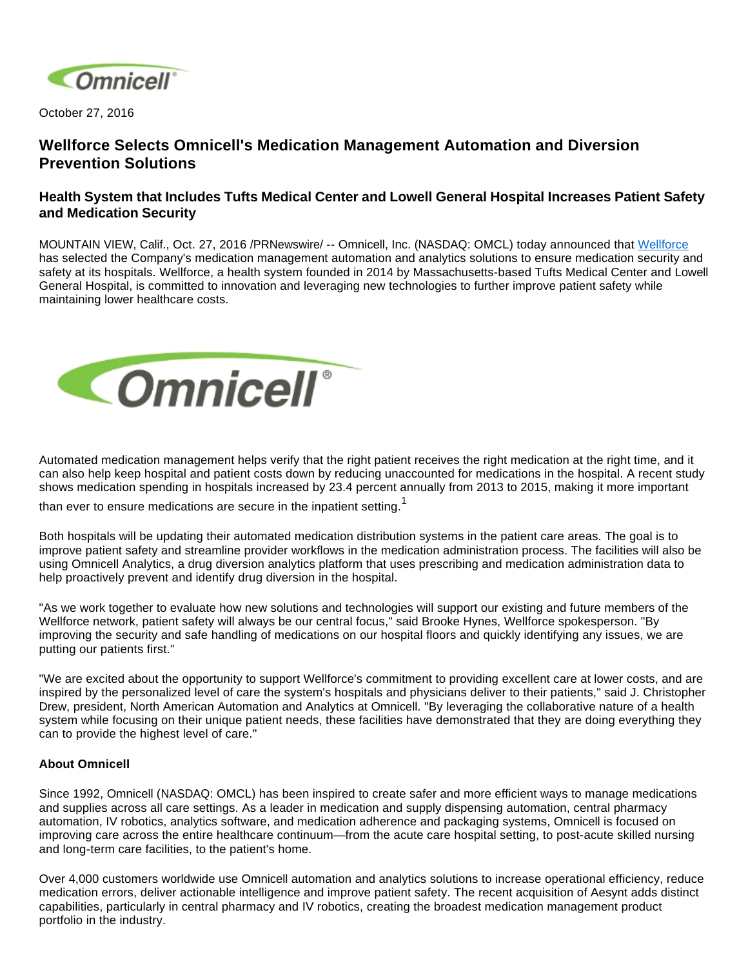

October 27, 2016

## **Wellforce Selects Omnicell's Medication Management Automation and Diversion Prevention Solutions**

## **Health System that Includes Tufts Medical Center and Lowell General Hospital Increases Patient Safety and Medication Security**

MOUNTAIN VIEW, Calif., Oct. 27, 2016 /PRNewswire/ -- Omnicell, Inc. (NASDAQ: OMCL) today announced that [Wellforce](http://www.wellforce.org/) has selected the Company's medication management automation and analytics solutions to ensure medication security and safety at its hospitals. Wellforce, a health system founded in 2014 by Massachusetts-based Tufts Medical Center and Lowell General Hospital, is committed to innovation and leveraging new technologies to further improve patient safety while maintaining lower healthcare costs.



Automated medication management helps verify that the right patient receives the right medication at the right time, and it can also help keep hospital and patient costs down by reducing unaccounted for medications in the hospital. A recent study shows medication spending in hospitals increased by 23.4 percent annually from 2013 to 2015, making it more important

than ever to ensure medications are secure in the inpatient setting.<sup>1</sup>

Both hospitals will be updating their automated medication distribution systems in the patient care areas. The goal is to improve patient safety and streamline provider workflows in the medication administration process. The facilities will also be using Omnicell Analytics, a drug diversion analytics platform that uses prescribing and medication administration data to help proactively prevent and identify drug diversion in the hospital.

"As we work together to evaluate how new solutions and technologies will support our existing and future members of the Wellforce network, patient safety will always be our central focus," said Brooke Hynes, Wellforce spokesperson. "By improving the security and safe handling of medications on our hospital floors and quickly identifying any issues, we are putting our patients first."

"We are excited about the opportunity to support Wellforce's commitment to providing excellent care at lower costs, and are inspired by the personalized level of care the system's hospitals and physicians deliver to their patients," said J. Christopher Drew, president, North American Automation and Analytics at Omnicell. "By leveraging the collaborative nature of a health system while focusing on their unique patient needs, these facilities have demonstrated that they are doing everything they can to provide the highest level of care."

## **About Omnicell**

Since 1992, Omnicell (NASDAQ: OMCL) has been inspired to create safer and more efficient ways to manage medications and supplies across all care settings. As a leader in medication and supply dispensing automation, central pharmacy automation, IV robotics, analytics software, and medication adherence and packaging systems, Omnicell is focused on improving care across the entire healthcare continuum—from the acute care hospital setting, to post-acute skilled nursing and long-term care facilities, to the patient's home.

Over 4,000 customers worldwide use Omnicell automation and analytics solutions to increase operational efficiency, reduce medication errors, deliver actionable intelligence and improve patient safety. The recent acquisition of Aesynt adds distinct capabilities, particularly in central pharmacy and IV robotics, creating the broadest medication management product portfolio in the industry.